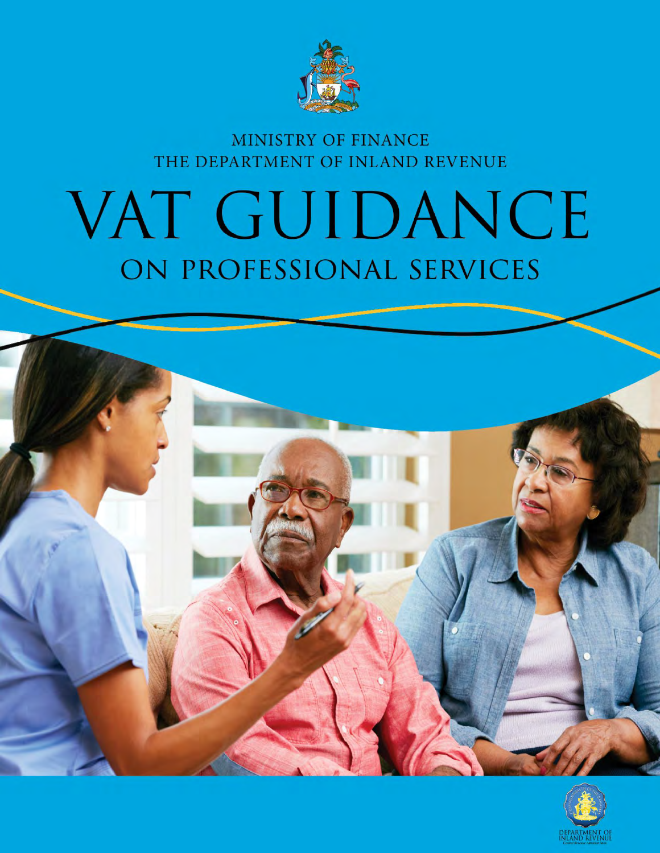

# MINISTRY OF FINANCE THE DEPARTMENT OF INLAND REVENUE

# VAT GUIDANCE ON PROFESSIONAL SERVICES



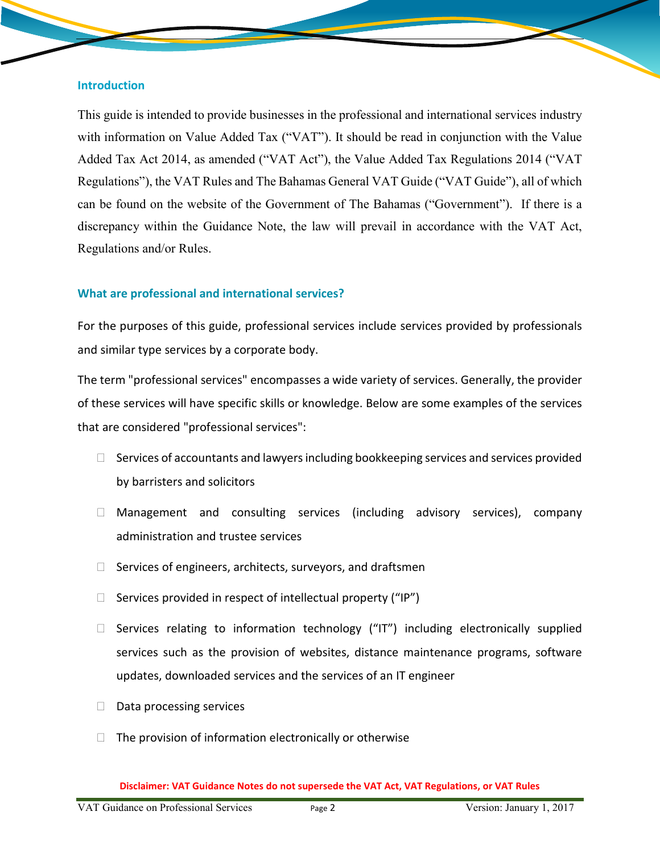#### **Introduction**

This guide is intended to provide businesses in the professional and international services industry with information on Value Added Tax ("VAT"). It should be read in conjunction with the Value Added Tax Act 2014, as amended ("VAT Act"), the Value Added Tax Regulations 2014 ("VAT Regulations"), the VAT Rules and The Bahamas General VAT Guide ("VAT Guide"), all of which can be found on the website of the Government of The Bahamas ("Government"). If there is a discrepancy within the Guidance Note, the law will prevail in accordance with the VAT Act, Regulations and/or Rules.

#### **What are professional and international services?**

For the purposes of this guide, professional services include services provided by professionals and similar type services by a corporate body.

The term "professional services" encompasses a wide variety of services. Generally, the provider of these services will have specific skills or knowledge. Below are some examples of the services that are considered "professional services":

- $\Box$  Services of accountants and lawyers including bookkeeping services and services provided by barristers and solicitors
- $\Box$  Management and consulting services (including advisory services), company administration and trustee services
- $\Box$  Services of engineers, architects, surveyors, and draftsmen
- $\Box$  Services provided in respect of intellectual property ("IP")
- $\Box$  Services relating to information technology ("IT") including electronically supplied services such as the provision of websites, distance maintenance programs, software updates, downloaded services and the services of an IT engineer
- $\Box$  Data processing services
- $\Box$  The provision of information electronically or otherwise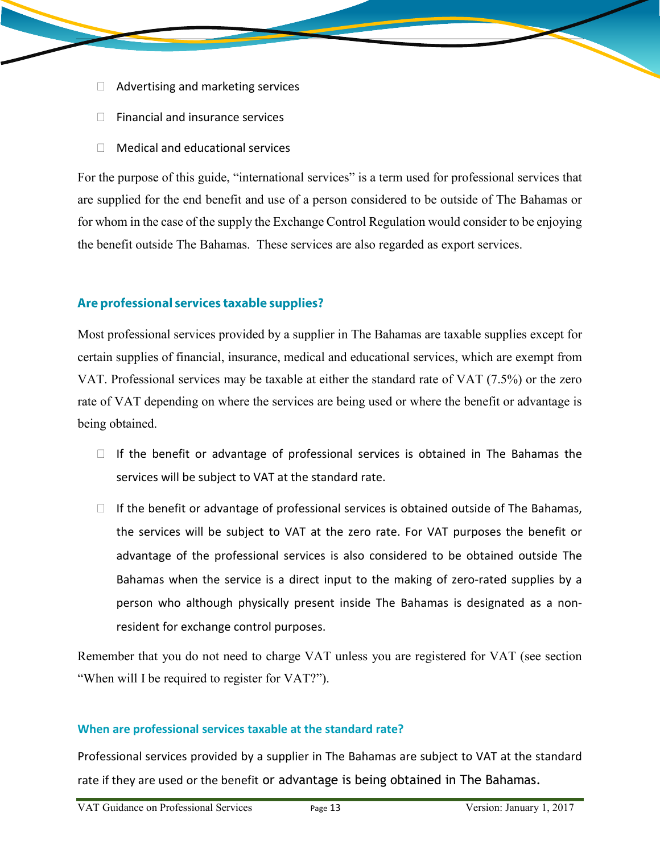- $\Box$  Advertising and marketing services
- $\Box$  Financial and insurance services
- $\Box$  Medical and educational services

For the purpose of this guide, "international services" is a term used for professional services that are supplied for the end benefit and use of a person considered to be outside of The Bahamas or for whom in the case of the supply the Exchange Control Regulation would consider to be enjoying the benefit outside The Bahamas. These services are also regarded as export services.

# Are professional services taxable supplies?

Most professional services provided by a supplier in The Bahamas are taxable supplies except for certain supplies of financial, insurance, medical and educational services, which are exempt from VAT. Professional services may be taxable at either the standard rate of VAT (7.5%) or the zero rate of VAT depending on where the services are being used or where the benefit or advantage is being obtained.

- $\Box$  If the benefit or advantage of professional services is obtained in The Bahamas the services will be subject to VAT at the standard rate.
- $\Box$  If the benefit or advantage of professional services is obtained outside of The Bahamas, the services will be subject to VAT at the zero rate. For VAT purposes the benefit or advantage of the professional services is also considered to be obtained outside The Bahamas when the service is a direct input to the making of zero-rated supplies by a person who although physically present inside The Bahamas is designated as a nonresident for exchange control purposes.

Remember that you do not need to charge VAT unless you are registered for VAT (see section "When will I be required to register for VAT?").

#### **When are professional services taxable at the standard rate?**

Professional services provided by a supplier in The Bahamas are subject to VAT at the standard rate if they are used or the benefit or advantage is being obtained in The Bahamas.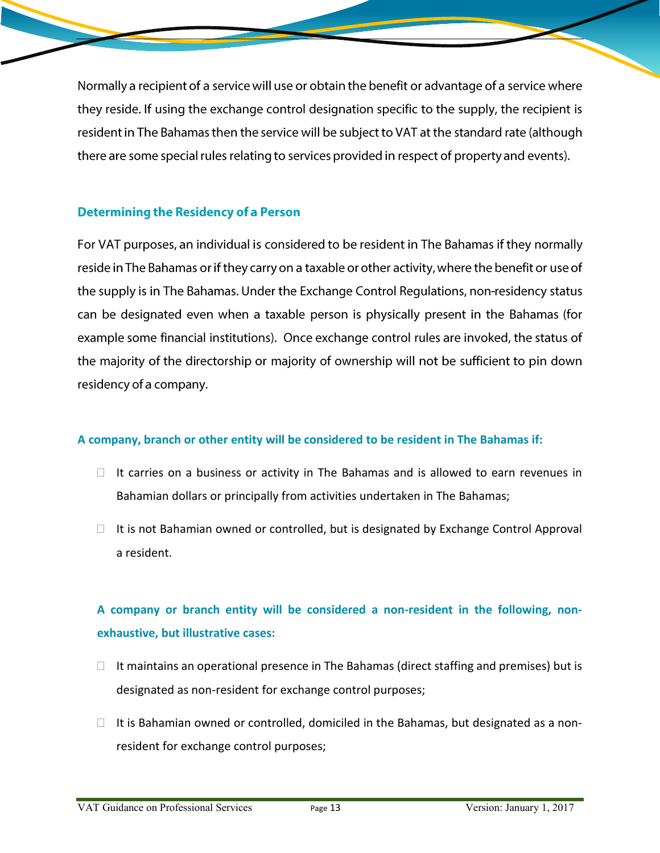Normally a recipient of a service will use or obtain the benefit or advantage of a service where they reside. If using the exchange control designation specific to the supply, the recipient is resident in The Bahamas then the service will be subject to VAT at the standard rate (although there are some special rules relating to services provided in respect of property and events).

# **Determining the Residency of a Person**

For VAT purposes, an individual is considered to be resident in The Bahamas if they normally reside in The Bahamas or if they carry on a taxable or other activity, where the benefit or use of the supply is in The Bahamas. Under the Exchange Control Regulations, non-residency status can be designated even when a taxable person is physically present in the Bahamas (for example some financial institutions). Once exchange control rules are invoked, the status of the majority of the directorship or majority of ownership will not be sufficient to pin down residency of a company.

#### **A company, branch or other entity will be considered to be resident in The Bahamas if:**

- $\Box$  It carries on a business or activity in The Bahamas and is allowed to earn revenues in Bahamian dollars or principally from activities undertaken in The Bahamas;
- $\Box$  It is not Bahamian owned or controlled, but is designated by Exchange Control Approval a resident.

# **A company or branch entity will be considered a non-resident in the following, nonexhaustive, but illustrative cases:**

- $\Box$  It maintains an operational presence in The Bahamas (direct staffing and premises) but is designated as non-resident for exchange control purposes;
- $\Box$  It is Bahamian owned or controlled, domiciled in the Bahamas, but designated as a nonresident for exchange control purposes;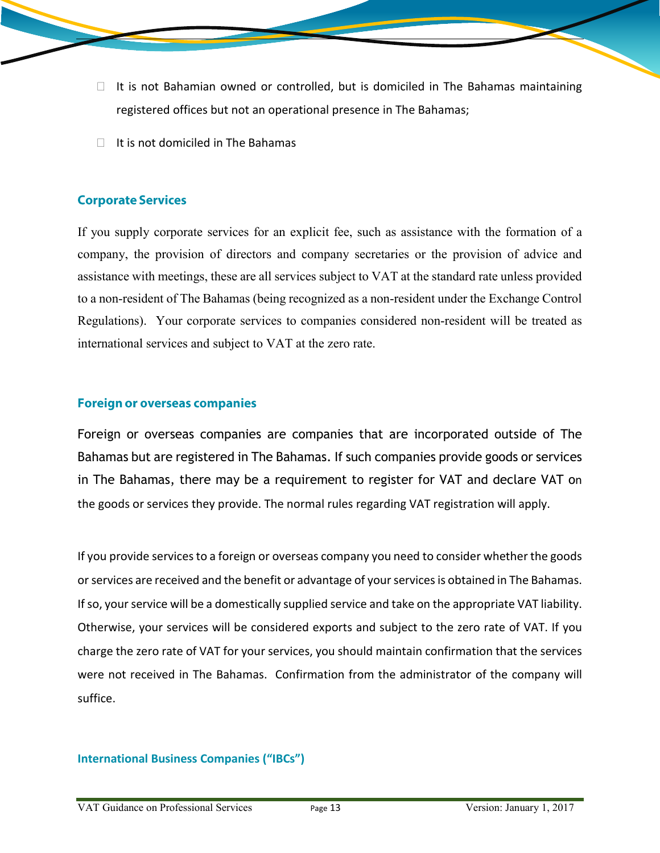- $\Box$  It is not Bahamian owned or controlled, but is domiciled in The Bahamas maintaining registered offices but not an operational presence in The Bahamas;
- $\Box$  It is not domiciled in The Bahamas

### **Corporate Services**

If you supply corporate services for an explicit fee, such as assistance with the formation of a company, the provision of directors and company secretaries or the provision of advice and assistance with meetings, these are all services subject to VAT at the standard rate unless provided to a non-resident of The Bahamas (being recognized as a non-resident under the Exchange Control Regulations). Your corporate services to companies considered non-resident will be treated as international services and subject to VAT at the zero rate.

#### **Foreign or overseas companies**

Foreign or overseas companies are companies that are incorporated outside of The Bahamas but are registered in The Bahamas. If such companies provide goods or services in The Bahamas, there may be a requirement to register for VAT and declare VAT on the goods or services they provide. The normal rules regarding VAT registration will apply.

If you provide services to a foreign or overseas company you need to consider whether the goods or services are received and the benefit or advantage of your services is obtained in The Bahamas. If so, your service will be a domestically supplied service and take on the appropriate VAT liability. Otherwise, your services will be considered exports and subject to the zero rate of VAT. If you charge the zero rate of VAT for your services, you should maintain confirmation that the services were not received in The Bahamas. Confirmation from the administrator of the company will suffice.

#### **International Business Companies ("IBCs")**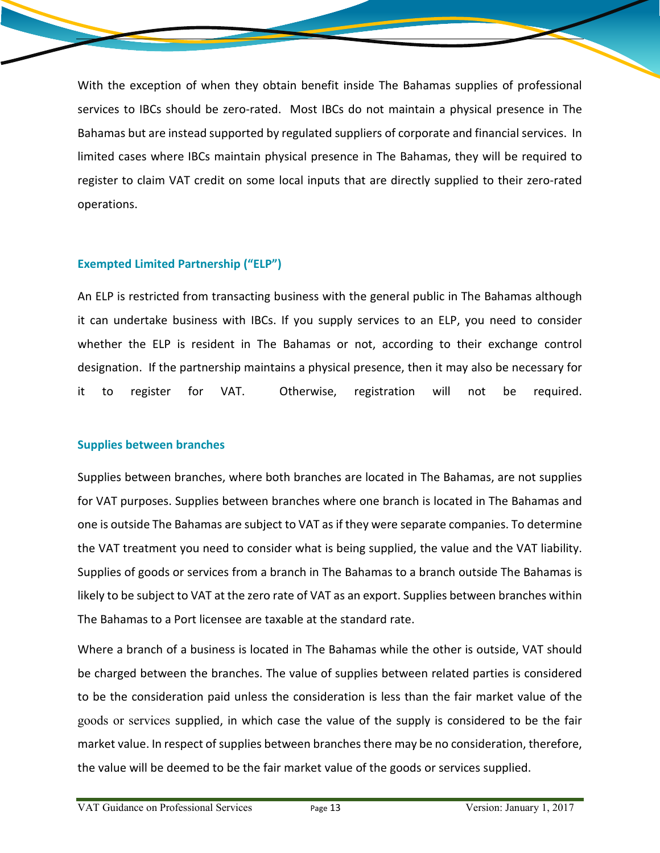With the exception of when they obtain benefit inside The Bahamas supplies of professional services to IBCs should be zero-rated. Most IBCs do not maintain a physical presence in The Bahamas but are instead supported by regulated suppliers of corporate and financial services. In limited cases where IBCs maintain physical presence in The Bahamas, they will be required to register to claim VAT credit on some local inputs that are directly supplied to their zero-rated operations.

#### **Exempted Limited Partnership ("ELP")**

An ELP is restricted from transacting business with the general public in The Bahamas although it can undertake business with IBCs. If you supply services to an ELP, you need to consider whether the ELP is resident in The Bahamas or not, according to their exchange control designation. If the partnership maintains a physical presence, then it may also be necessary for it to register for VAT. Otherwise, registration will not be required.

#### **Supplies between branches**

Supplies between branches, where both branches are located in The Bahamas, are not supplies for VAT purposes. Supplies between branches where one branch is located in The Bahamas and one is outside The Bahamas are subject to VAT as if they were separate companies. To determine the VAT treatment you need to consider what is being supplied, the value and the VAT liability. Supplies of goods or services from a branch in The Bahamas to a branch outside The Bahamas is likely to be subject to VAT at the zero rate of VAT as an export. Supplies between branches within The Bahamas to a Port licensee are taxable at the standard rate.

Where a branch of a business is located in The Bahamas while the other is outside, VAT should be charged between the branches. The value of supplies between related parties is considered to be the consideration paid unless the consideration is less than the fair market value of the goods or services supplied, in which case the value of the supply is considered to be the fair market value. In respect of supplies between branches there may be no consideration, therefore, the value will be deemed to be the fair market value of the goods or services supplied.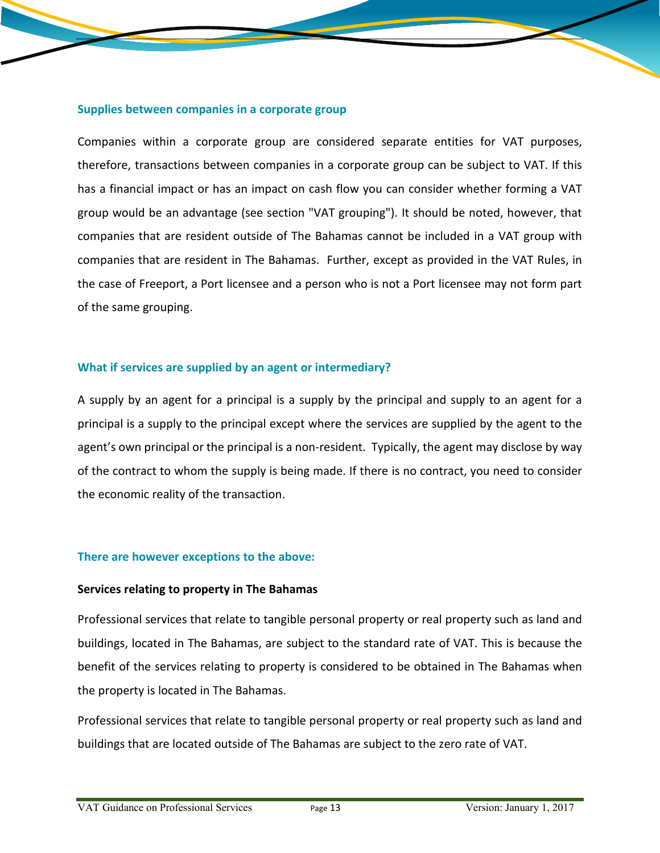#### **Supplies between companies in a corporate group**

Companies within a corporate group are considered separate entities for VAT purposes, therefore, transactions between companies in a corporate group can be subject to VAT. If this has a financial impact or has an impact on cash flow you can consider whether forming a VAT group would be an advantage (see section "VAT grouping"). It should be noted, however, that companies that are resident outside of The Bahamas cannot be included in a VAT group with companies that are resident in The Bahamas. Further, except as provided in the VAT Rules, in the case of Freeport, a Port licensee and a person who is not a Port licensee may not form part of the same grouping.

#### **What if services are supplied by an agent or intermediary?**

A supply by an agent for a principal is a supply by the principal and supply to an agent for a principal is a supply to the principal except where the services are supplied by the agent to the agent's own principal or the principal is a non-resident. Typically, the agent may disclose by way of the contract to whom the supply is being made. If there is no contract, you need to consider the economic reality of the transaction.

#### **There are however exceptions to the above:**

#### **Services relating to property in The Bahamas**

Professional services that relate to tangible personal property or real property such as land and buildings, located in The Bahamas, are subject to the standard rate of VAT. This is because the benefit of the services relating to property is considered to be obtained in The Bahamas when the property is located in The Bahamas.

Professional services that relate to tangible personal property or real property such as land and buildings that are located outside of The Bahamas are subject to the zero rate of VAT.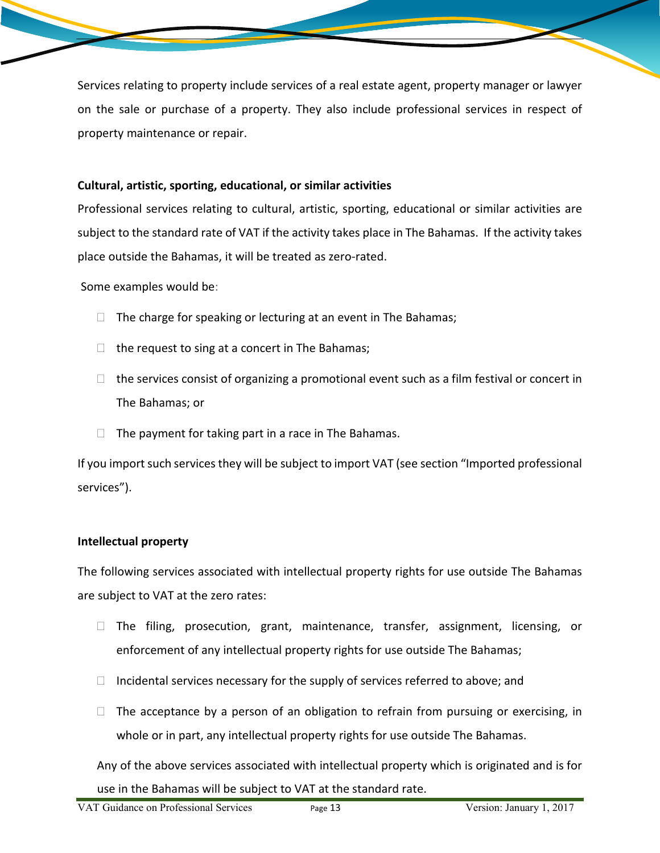Services relating to property include services of a real estate agent, property manager or lawyer on the sale or purchase of a property. They also include professional services in respect of property maintenance or repair.

#### **Cultural, artistic, sporting, educational, or similar activities**

Professional services relating to cultural, artistic, sporting, educational or similar activities are subject to the standard rate of VAT if the activity takes place in The Bahamas. If the activity takes place outside the Bahamas, it will be treated as zero-rated.

Some examples would be:

- $\Box$  The charge for speaking or lecturing at an event in The Bahamas;
- $\Box$  the request to sing at a concert in The Bahamas;
- $\Box$  the services consist of organizing a promotional event such as a film festival or concert in The Bahamas; or
- $\Box$  The payment for taking part in a race in The Bahamas.

If you import such services they will be subject to import VAT (see section "Imported professional services").

#### **Intellectual property**

The following services associated with intellectual property rights for use outside The Bahamas are subject to VAT at the zero rates:

- $\Box$  The filing, prosecution, grant, maintenance, transfer, assignment, licensing, or enforcement of any intellectual property rights for use outside The Bahamas;
- $\Box$  Incidental services necessary for the supply of services referred to above; and
- $\Box$  The acceptance by a person of an obligation to refrain from pursuing or exercising, in whole or in part, any intellectual property rights for use outside The Bahamas.

Any of the above services associated with intellectual property which is originated and is for use in the Bahamas will be subject to VAT at the standard rate.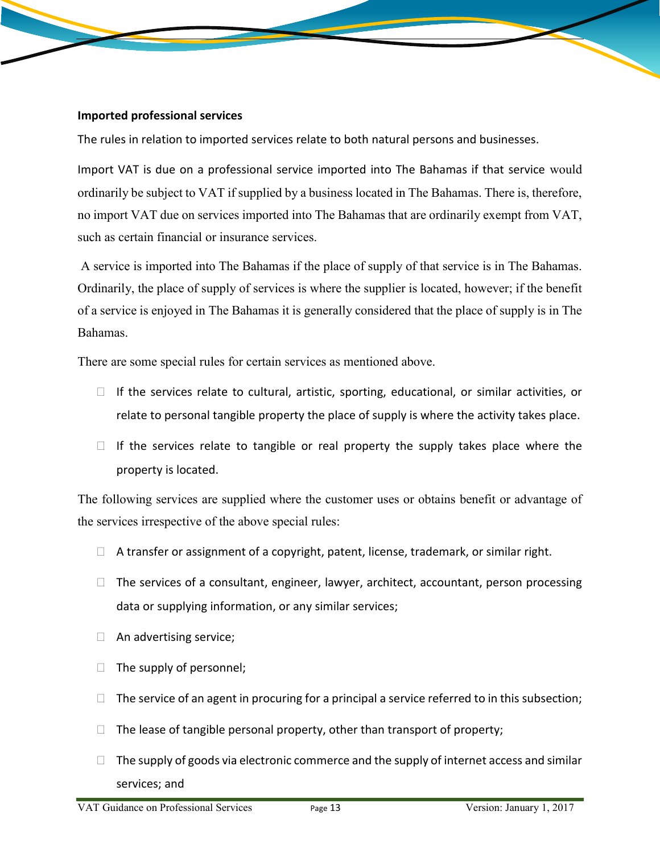#### **Imported professional services**

The rules in relation to imported services relate to both natural persons and businesses.

Import VAT is due on a professional service imported into The Bahamas if that service would ordinarily be subject to VAT if supplied by a business located in The Bahamas. There is, therefore, no import VAT due on services imported into The Bahamas that are ordinarily exempt from VAT, such as certain financial or insurance services.

A service is imported into The Bahamas if the place of supply of that service is in The Bahamas. Ordinarily, the place of supply of services is where the supplier is located, however; if the benefit of a service is enjoyed in The Bahamas it is generally considered that the place of supply is in The Bahamas.

There are some special rules for certain services as mentioned above.

- $\Box$  If the services relate to cultural, artistic, sporting, educational, or similar activities, or relate to personal tangible property the place of supply is where the activity takes place.
- $\Box$  If the services relate to tangible or real property the supply takes place where the property is located.

The following services are supplied where the customer uses or obtains benefit or advantage of the services irrespective of the above special rules:

- $\Box$  A transfer or assignment of a copyright, patent, license, trademark, or similar right.
- $\Box$  The services of a consultant, engineer, lawyer, architect, accountant, person processing data or supplying information, or any similar services;
- $\Box$  An advertising service;
- $\Box$  The supply of personnel;
- $\Box$  The service of an agent in procuring for a principal a service referred to in this subsection;
- $\Box$  The lease of tangible personal property, other than transport of property;
- $\Box$  The supply of goods via electronic commerce and the supply of internet access and similar services; and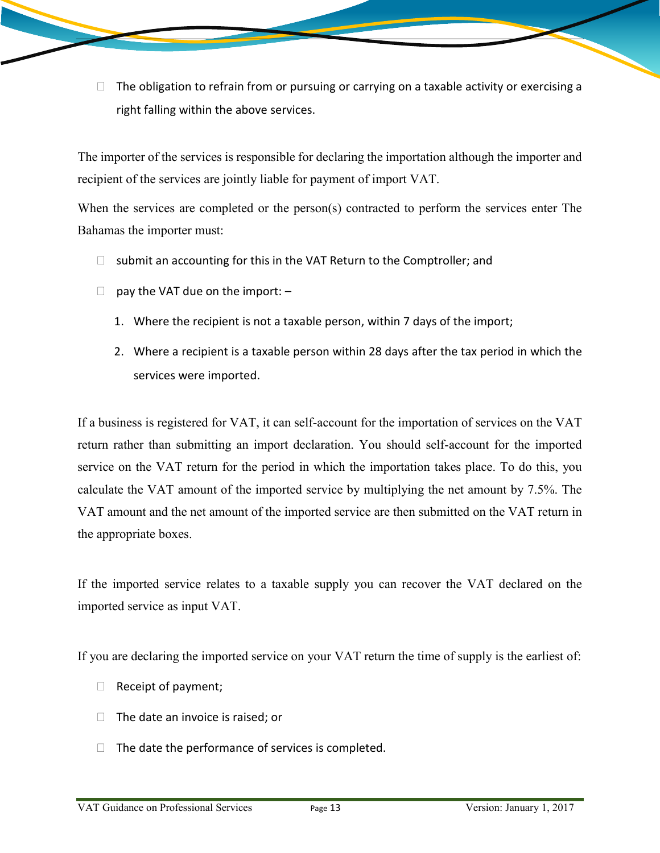$\Box$  The obligation to refrain from or pursuing or carrying on a taxable activity or exercising a right falling within the above services.

The importer of the services is responsible for declaring the importation although the importer and recipient of the services are jointly liable for payment of import VAT.

When the services are completed or the person(s) contracted to perform the services enter The Bahamas the importer must:

- $\Box$  submit an accounting for this in the VAT Return to the Comptroller; and
- $\Box$  pay the VAT due on the import:  $-$ 
	- 1. Where the recipient is not a taxable person, within 7 days of the import;
	- 2. Where a recipient is a taxable person within 28 days after the tax period in which the services were imported.

If a business is registered for VAT, it can self-account for the importation of services on the VAT return rather than submitting an import declaration. You should self-account for the imported service on the VAT return for the period in which the importation takes place. To do this, you calculate the VAT amount of the imported service by multiplying the net amount by 7.5%. The VAT amount and the net amount of the imported service are then submitted on the VAT return in the appropriate boxes.

If the imported service relates to a taxable supply you can recover the VAT declared on the imported service as input VAT.

If you are declaring the imported service on your VAT return the time of supply is the earliest of:

- $\Box$  Receipt of payment;
- $\Box$  The date an invoice is raised; or
- $\Box$  The date the performance of services is completed.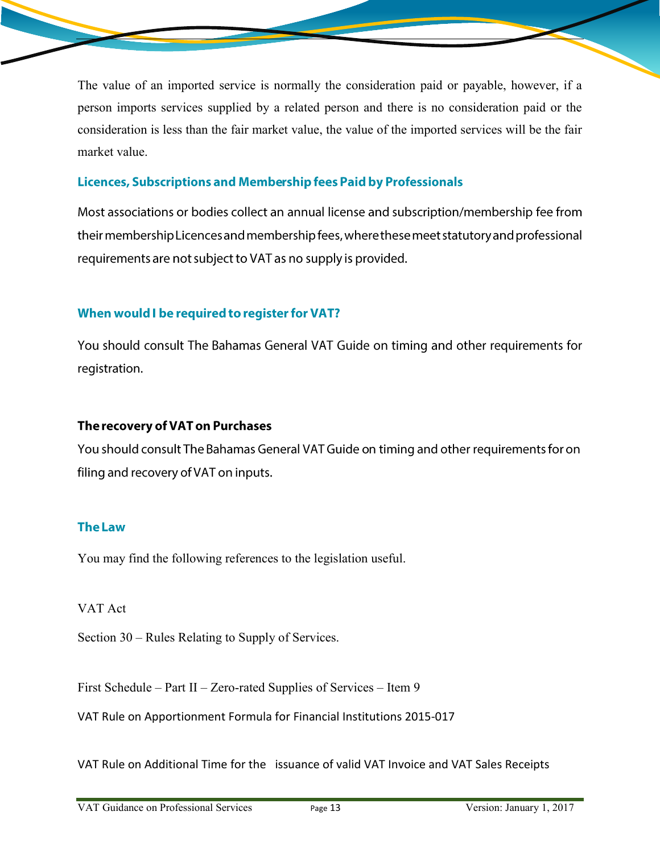The value of an imported service is normally the consideration paid or payable, however, if a person imports services supplied by a related person and there is no consideration paid or the consideration is less than the fair market value, the value of the imported services will be the fair market value.

## **Licences, Subscriptions and Membership fees Paid by Professionals**

Most associations or bodies collect an annual license and subscription/membership fee from their membership Licences and membership fees, where these meet statutory and professional requirements are not subject to VAT as no supply is provided.

## When would I be required to register for VAT?

You should consult The Bahamas General VAT Guide on timing and other requirements for registration.

#### The recovery of VAT on Purchases

You should consult The Bahamas General VAT Guide on timing and other requirements for on filing and recovery of VAT on inputs.

#### **The Law**

You may find the following references to the legislation useful.

#### VAT Act

Section 30 – Rules Relating to Supply of Services.

First Schedule – Part II – Zero-rated Supplies of Services – Item 9

VAT Rule on Apportionment Formula for Financial Institutions 2015-017

VAT Rule on Additional Time for the issuance of valid VAT Invoice and VAT Sales Receipts